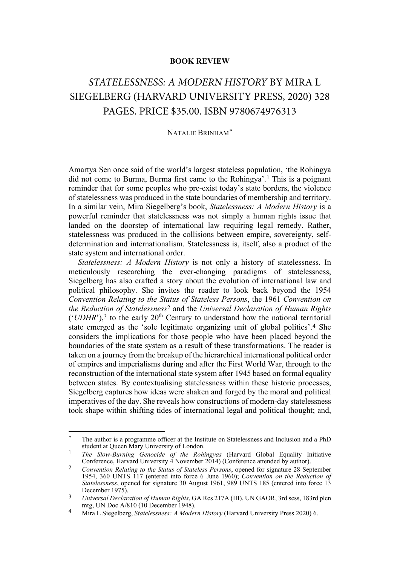## **BOOK REVIEW**

## *STATELESSNESS: A MODERN HISTORY* BY MIRA L SIEGELBERG (HARVARD UNIVERSITY PRESS, 2020) 328 PAGES. PRICE \$35.00. ISBN 9780674976313

## <span id="page-0-5"></span>NATALIE BRINHAM[\\*](#page-0-0)

Amartya Sen once said of the world's largest stateless population, 'the Rohingya did not come to Burma, Burma first came to the Rohingya'.[1](#page-0-1) This is a poignant reminder that for some peoples who pre-exist today's state borders, the violence of statelessness was produced in the state boundaries of membership and territory. In a similar vein, Mira Siegelberg's book, *Statelessness: A Modern History* is a powerful reminder that statelessness was not simply a human rights issue that landed on the doorstep of international law requiring legal remedy. Rather, statelessness was produced in the collisions between empire, sovereignty, selfdetermination and internationalism. Statelessness is, itself, also a product of the state system and international order.

*Statelessness: A Modern History* is not only a history of statelessness. In meticulously researching the ever-changing paradigms of statelessness, Siegelberg has also crafted a story about the evolution of international law and political philosophy. She invites the reader to look back beyond the 1954 *Convention Relating to the Status of Stateless Persons*, the 1961 *Convention on the Reduction of Statelessness*[2](#page-0-2) and the *Universal Declaration of Human Rights*  $('UDHR'),<sup>3</sup>$  $('UDHR'),<sup>3</sup>$  $('UDHR'),<sup>3</sup>$  to the early  $20<sup>th</sup>$  Century to understand how the national territorial state emerged as the 'sole legitimate organizing unit of global politics'.[4](#page-0-4) She considers the implications for those people who have been placed beyond the boundaries of the state system as a result of these transformations. The reader is taken on a journey from the breakup of the hierarchical international political order of empires and imperialisms during and after the First World War, through to the reconstruction of the international state system after 1945 based on formal equality between states. By contextualising statelessness within these historic processes, Siegelberg captures how ideas were shaken and forged by the moral and political imperatives of the day. She reveals how constructions of modern-day statelessness took shape within shifting tides of international legal and political thought; and,

<span id="page-0-0"></span>The author is a programme officer at the Institute on Statelessness and Inclusion and a PhD student at Queen Mary University of London.

<span id="page-0-1"></span><sup>1</sup> *The Slow-Burning Genocide of the Rohingyas* (Harvard Global Equality Initiative Conference, Harvard University 4 November 2014) (Conference attended by author).

<span id="page-0-2"></span><sup>2</sup> *Convention Relating to the Status of Stateless Persons*, opened for signature 28 September 1954, 360 UNTS 117 (entered into force 6 June 1960); *Convention on the Reduction of Statelessness*, opened for signature 30 August 1961, 989 UNTS 185 (entered into force 13 December 1975).

<span id="page-0-3"></span><sup>3</sup> *Universal Declaration of Human Rights*, GA Res 217A (III), UN GAOR, 3rd sess, 183rd plen mtg, UN Doc  $A/810$  (10 December 1948).

<span id="page-0-4"></span><sup>4</sup> Mira L Siegelberg, *Statelessness: A Modern History* (Harvard University Press 2020) 6.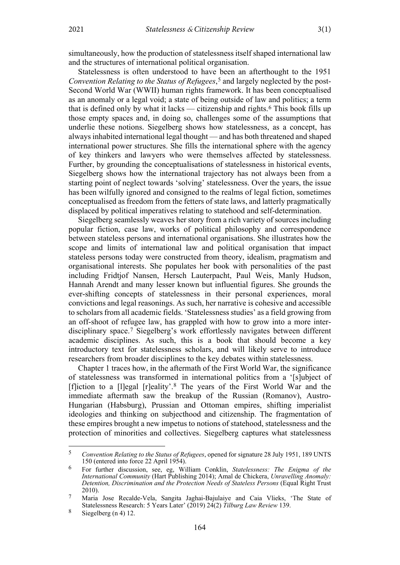simultaneously, how the production of statelessness itself shaped international law and the structures of international political organisation.

Statelessness is often understood to have been an afterthought to the 1951 *Convention Relating to the Status of Refugees*[,5](#page-1-0) and largely neglected by the post-Second World War (WWII) human rights framework. It has been conceptualised as an anomaly or a legal void; a state of being outside of law and politics; a term that is defined only by what it lacks — citizenship and rights.<sup>[6](#page-1-1)</sup> This book fills up those empty spaces and, in doing so, challenges some of the assumptions that underlie these notions. Siegelberg shows how statelessness, as a concept, has always inhabited international legal thought — and has both threatened and shaped international power structures. She fills the international sphere with the agency of key thinkers and lawyers who were themselves affected by statelessness. Further, by grounding the conceptualisations of statelessness in historical events, Siegelberg shows how the international trajectory has not always been from a starting point of neglect towards 'solving' statelessness. Over the years, the issue has been wilfully ignored and consigned to the realms of legal fiction, sometimes conceptualised as freedom from the fetters of state laws, and latterly pragmatically displaced by political imperatives relating to statehood and self-determination.

Siegelberg seamlessly weaves her story from a rich variety of sources including popular fiction, case law, works of political philosophy and correspondence between stateless persons and international organisations. She illustrates how the scope and limits of international law and political organisation that impact stateless persons today were constructed from theory, idealism, pragmatism and organisational interests. She populates her book with personalities of the past including Fridtjof Nansen, Hersch Lauterpacht, Paul Weis, Manly Hudson, Hannah Arendt and many lesser known but influential figures. She grounds the ever-shifting concepts of statelessness in their personal experiences, moral convictions and legal reasonings. As such, her narrative is cohesive and accessible to scholars from all academic fields. 'Statelessness studies' as a field growing from an off-shoot of refugee law, has grappled with how to grow into a more interdisciplinary space.[7](#page-1-2) Siegelberg's work effortlessly navigates between different academic disciplines. As such, this is a book that should become a key introductory text for statelessness scholars, and will likely serve to introduce researchers from broader disciplines to the key debates within statelessness.

Chapter 1 traces how, in the aftermath of the First World War, the significance of statelessness was transformed in international politics from a '[s]ubject of [f]iction to a [l]egal [r]eality'[.8](#page-1-3) The years of the First World War and the immediate aftermath saw the breakup of the Russian (Romanov), Austro-Hungarian (Habsburg), Prussian and Ottoman empires, shifting imperialist ideologies and thinking on subjecthood and citizenship. The fragmentation of these empires brought a new impetus to notions of statehood, statelessness and the protection of minorities and collectives. Siegelberg captures what statelessness

<span id="page-1-0"></span><sup>5</sup> *Convention Relating to the Status of Refugees*, opened for signature 28 July 1951, 189 UNTS 150 (entered into force 22 April 1954).

<span id="page-1-1"></span><sup>6</sup> For further discussion, see, eg, William Conklin, *Statelessness: The Enigma of the International Community* (Hart Publishing 2014); Amal de Chickera, *Unravelling Anomaly: Detention, Discrimination and the Protection Needs of Stateless Persons* (Equal Right Trust 2010).

<span id="page-1-2"></span><sup>7</sup> Maria Jose Recalde-Vela, Sangita Jaghai-Bajulaiye and Caia Vlieks, 'The State of Statelessness Research: 5 Years Later' (2019) 24(2) *Tilburg Law Review* 139.

<span id="page-1-3"></span> $8$  Siegelberg (n [4\)](#page-0-5) 12.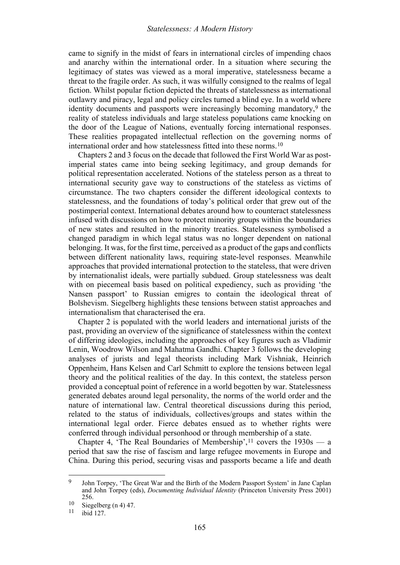came to signify in the midst of fears in international circles of impending chaos and anarchy within the international order. In a situation where securing the legitimacy of states was viewed as a moral imperative, statelessness became a threat to the fragile order. As such, it was wilfully consigned to the realms of legal fiction. Whilst popular fiction depicted the threats of statelessness as international outlawry and piracy, legal and policy circles turned a blind eye. In a world where identity documents and passports were increasingly becoming mandatory,<sup>[9](#page-2-0)</sup> the reality of stateless individuals and large stateless populations came knocking on the door of the League of Nations, eventually forcing international responses. These realities propagated intellectual reflection on the governing norms of international order and how statelessness fitted into these norms.[10](#page-2-1)

Chapters 2 and 3 focus on the decade that followed the First World War as postimperial states came into being seeking legitimacy, and group demands for political representation accelerated. Notions of the stateless person as a threat to international security gave way to constructions of the stateless as victims of circumstance. The two chapters consider the different ideological contexts to statelessness, and the foundations of today's political order that grew out of the postimperial context. International debates around how to counteract statelessness infused with discussions on how to protect minority groups within the boundaries of new states and resulted in the minority treaties. Statelessness symbolised a changed paradigm in which legal status was no longer dependent on national belonging. It was, for the first time, perceived as a product of the gaps and conflicts between different nationality laws, requiring state-level responses. Meanwhile approaches that provided international protection to the stateless, that were driven by internationalist ideals, were partially subdued. Group statelessness was dealt with on piecemeal basis based on political expediency, such as providing 'the Nansen passport' to Russian emigres to contain the ideological threat of Bolshevism. Siegelberg highlights these tensions between statist approaches and internationalism that characterised the era.

Chapter 2 is populated with the world leaders and international jurists of the past, providing an overview of the significance of statelessness within the context of differing ideologies, including the approaches of key figures such as Vladimir Lenin, Woodrow Wilson and Mahatma Gandhi. Chapter 3 follows the developing analyses of jurists and legal theorists including Mark Vishniak, Heinrich Oppenheim, Hans Kelsen and Carl Schmitt to explore the tensions between legal theory and the political realities of the day. In this context, the stateless person provided a conceptual point of reference in a world begotten by war. Statelessness generated debates around legal personality, the norms of the world order and the nature of international law. Central theoretical discussions during this period, related to the status of individuals, collectives/groups and states within the international legal order. Fierce debates ensued as to whether rights were conferred through individual personhood or through membership of a state.

Chapter 4, 'The Real Boundaries of Membership',  $11$  covers the  $1930s - a$ period that saw the rise of fascism and large refugee movements in Europe and China. During this period, securing visas and passports became a life and death

<span id="page-2-0"></span><sup>9</sup> John Torpey, 'The Great War and the Birth of the Modern Passport System' in Jane Caplan and John Torpey (eds), *Documenting Individual Identity* (Princeton University Press 2001) 256.

<span id="page-2-1"></span> $\frac{10}{11}$  Siegelberg (n [4\)](#page-0-5) 47.

<span id="page-2-2"></span>ibid 127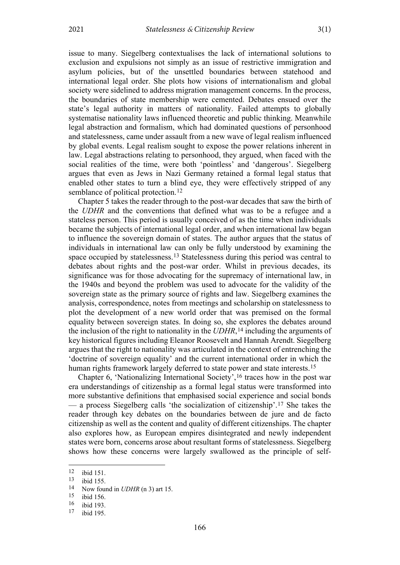issue to many. Siegelberg contextualises the lack of international solutions to exclusion and expulsions not simply as an issue of restrictive immigration and asylum policies, but of the unsettled boundaries between statehood and international legal order. She plots how visions of internationalism and global society were sidelined to address migration management concerns. In the process, the boundaries of state membership were cemented. Debates ensued over the state's legal authority in matters of nationality. Failed attempts to globally systematise nationality laws influenced theoretic and public thinking. Meanwhile legal abstraction and formalism, which had dominated questions of personhood and statelessness, came under assault from a new wave of legal realism influenced by global events. Legal realism sought to expose the power relations inherent in law. Legal abstractions relating to personhood, they argued, when faced with the social realities of the time, were both 'pointless' and 'dangerous'. Siegelberg argues that even as Jews in Nazi Germany retained a formal legal status that enabled other states to turn a blind eye, they were effectively stripped of any semblance of political protection.<sup>[12](#page-3-0)</sup>

Chapter 5 takes the reader through to the post-war decades that saw the birth of the *UDHR* and the conventions that defined what was to be a refugee and a stateless person. This period is usually conceived of as the time when individuals became the subjects of international legal order, and when international law began to influence the sovereign domain of states. The author argues that the status of individuals in international law can only be fully understood by examining the space occupied by statelessness.[13](#page-3-1) Statelessness during this period was central to debates about rights and the post-war order. Whilst in previous decades, its significance was for those advocating for the supremacy of international law, in the 1940s and beyond the problem was used to advocate for the validity of the sovereign state as the primary source of rights and law. Siegelberg examines the analysis, correspondence, notes from meetings and scholarship on statelessness to plot the development of a new world order that was premised on the formal equality between sovereign states. In doing so, she explores the debates around the inclusion of the right to nationality in the *UDHR*,[14](#page-3-2) including the arguments of key historical figures including Eleanor Roosevelt and Hannah Arendt. Siegelberg argues that the right to nationality was articulated in the context of entrenching the 'doctrine of sovereign equality' and the current international order in which the human rights framework largely deferred to state power and state interests.<sup>[15](#page-3-3)</sup>

Chapter 6, 'Nationalizing International Society',[16](#page-3-4) traces how in the post war era understandings of citizenship as a formal legal status were transformed into more substantive definitions that emphasised social experience and social bonds — a process Siegelberg calls 'the socialization of citizenship'.[17](#page-3-5) She takes the reader through key debates on the boundaries between de jure and de facto citizenship as well as the content and quality of different citizenships. The chapter also explores how, as European empires disintegrated and newly independent states were born, concerns arose about resultant forms of statelessness. Siegelberg shows how these concerns were largely swallowed as the principle of self-

<span id="page-3-0"></span> $\frac{12}{13}$  ibid 151.

<span id="page-3-2"></span><span id="page-3-1"></span> $\frac{13}{14}$  ibid 155.

<sup>&</sup>lt;sup>14</sup> Now found in *UDHR* (n 3) art 15.<br><sup>15</sup> ibid 156

<span id="page-3-3"></span> $\frac{15}{16}$  ibid 156.

<span id="page-3-4"></span> $\frac{16}{17}$  ibid 193.

<span id="page-3-5"></span>ibid 195.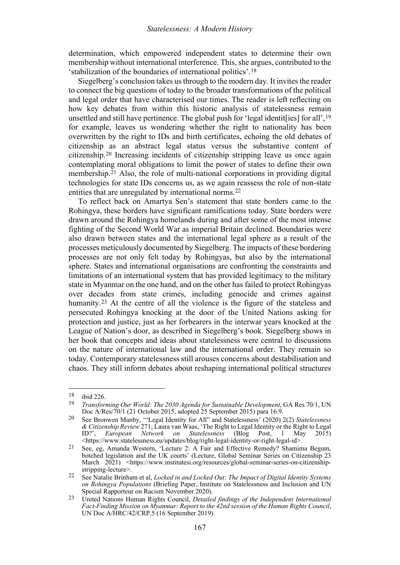determination, which empowered independent states to determine their own membership without international interference. This, she argues, contributed to the 'stabilization of the boundaries of international politics'.[18](#page-4-0)

Siegelberg's conclusion takes us through to the modern day. It invites the reader to connect the big questions of today to the broader transformations of the political and legal order that have characterised our times. The reader is left reflecting on how key debates from within this historic analysis of statelessness remain unsettled and still have pertinence. The global push for 'legal identit[ies] for all'[,19](#page-4-1) for example, leaves us wondering whether the right to nationality has been overwritten by the right to IDs and birth certificates, echoing the old debates of citizenship as an abstract legal status versus the substantive content of citizenship.[20](#page-4-2) Increasing incidents of citizenship stripping leave us once again contemplating moral obligations to limit the power of states to define their own membership.[21](#page-4-3) Also, the role of multi-national corporations in providing digital technologies for state IDs concerns us, as we again reassess the role of non-state entities that are unregulated by international norms.<sup>[22](#page-4-4)</sup>

To reflect back on Amartya Sen's statement that state borders came to the Rohingya, these borders have significant ramifications today. State borders were drawn around the Rohingya homelands during and after some of the most intense fighting of the Second World War as imperial Britain declined. Boundaries were also drawn between states and the international legal sphere as a result of the processes meticulously documented by Siegelberg. The impacts of these bordering processes are not only felt today by Rohingyas, but also by the international sphere. States and international organisations are confronting the constraints and limitations of an international system that has provided legitimacy to the military state in Myanmar on the one hand, and on the other has failed to protect Rohingyas over decades from state crimes, including genocide and crimes against humanity.<sup>[23](#page-4-5)</sup> At the centre of all the violence is the figure of the stateless and persecuted Rohingya knocking at the door of the United Nations asking for protection and justice, just as her forbearers in the interwar years knocked at the League of Nation's door, as described in Siegelberg's book. Siegelberg shows in her book that concepts and ideas about statelessness were central to discussions on the nature of international law and the international order. They remain so today. Contemporary statelessness still arouses concerns about destabilisation and chaos. They still inform debates about reshaping international political structures

<span id="page-4-0"></span> $\frac{18}{19}$  ibid 226.

<span id="page-4-1"></span><sup>19</sup> *Transforming Our World: The 2030 Agenda for Sustainable Development*, GA Res 70/1, UN Doc A/Res/70/1 (21 October 2015, adopted 25 September 2015) para 16.9.

<span id="page-4-2"></span><sup>20</sup> See Bronwen Manby, '"Legal Identity for All" and Statelessness' (2020) 2(2) *Statelessness & Citizenship Review* 271; Laura van Waas, 'The Right to Legal Identity or the Right to Legal ID?', *European Network on Statelessness* (Blog Post, 1 May 2015) [<https://www.statelessness.eu/updates/blog/right-legal-identity-or-right-legal-id>](https://www.statelessness.eu/updates/blog/right-legal-identity-or-right-legal-id).

<span id="page-4-3"></span><sup>21</sup> See, eg, Amanda Western, 'Lecture 2: A Fair and Effective Remedy? Shamima Begum, botched legislation and the UK courts' (Lecture, Global Seminar Series on Citizenship 23 March 2021) [<https://www.institutesi.org/resources/global-seminar-series-on-citizenship](https://www.institutesi.org/resources/global-seminar-series-on-citizenship-stripping-lecture)[stripping-lecture>](https://www.institutesi.org/resources/global-seminar-series-on-citizenship-stripping-lecture).

<span id="page-4-4"></span><sup>22</sup> See Natalie Brinham et al, *Locked in and Locked Out: The Impact of Digital Identity Systems on Rohingya Populations* (Briefing Paper, Institute on Statelessness and Inclusion and UN Special Rapporteur on Racism November 2020).

<span id="page-4-5"></span><sup>23</sup> United Nations Human Rights Council, *Detailed findings of the Independent International Fact-Finding Mission on Myanmar: Report to the 42nd session of the Human Rights Council*, UN Doc A/HRC/42/CRP.5 (16 September 2019).